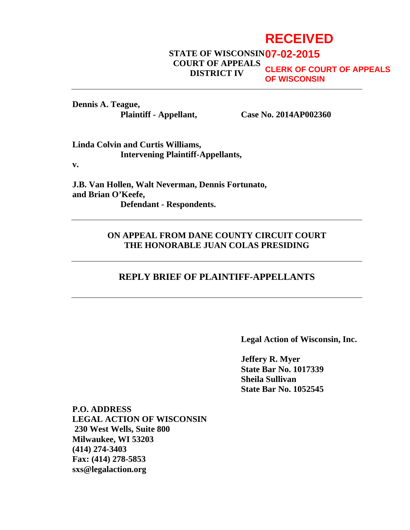# **RECEIVED**

#### **STATE OF WISCONSIN 07-02-2015 COURT OF APPEALS DISTRICT IV CLERK OF COURT OF APPEALS OF WISCONSIN**

**Dennis A. Teague,**

**Plaintiff - Appellant, Case No. 2014AP002360**

**Linda Colvin and Curtis Williams, Intervening Plaintiff-Appellants,**

**v.**

**J.B. Van Hollen, Walt Neverman, Dennis Fortunato, and Brian O'Keefe, Defendant - Respondents.** 

#### **ON APPEAL FROM DANE COUNTY CIRCUIT COURT THE HONORABLE JUAN COLAS PRESIDING**

#### **REPLY BRIEF OF PLAINTIFF-APPELLANTS**

**Legal Action of Wisconsin, Inc.**

**Jeffery R. Myer State Bar No. 1017339 Sheila Sullivan State Bar No. 1052545**

**P.O. ADDRESS LEGAL ACTION OF WISCONSIN 230 West Wells, Suite 800 Milwaukee, WI 53203 (414) 274-3403 Fax: (414) 278-5853 sxs@legalaction.org**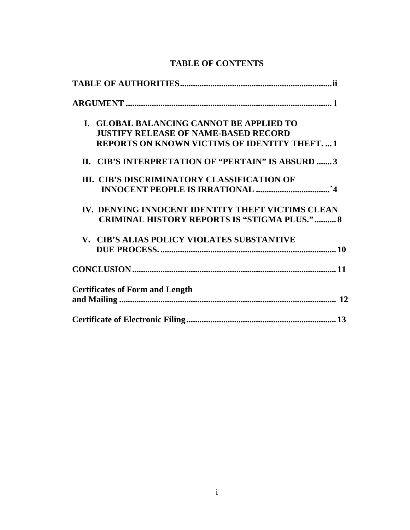| I. GLOBAL BALANCING CANNOT BE APPLIED TO              |
|-------------------------------------------------------|
| <b>JUSTIFY RELEASE OF NAME-BASED RECORD</b>           |
| <b>REPORTS ON KNOWN VICTIMS OF IDENTITY THEFT.  1</b> |
| II. CIB'S INTERPRETATION OF "PERTAIN" IS ABSURD 3     |
| III. CIB'S DISCRIMINATORY CLASSIFICATION OF           |
|                                                       |
| IV. DENYING INNOCENT IDENTITY THEFT VICTIMS CLEAN     |
| <b>CRIMINAL HISTORY REPORTS IS "STIGMA PLUS."  8</b>  |
| V. CIB'S ALIAS POLICY VIOLATES SUBSTANTIVE            |
|                                                       |
|                                                       |
| <b>Certificates of Form and Length</b>                |
|                                                       |
|                                                       |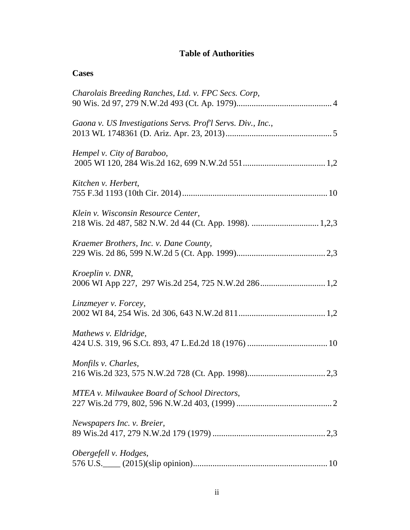## **Table of Authorities**

| <b>Cases</b>                                                            |
|-------------------------------------------------------------------------|
| Charolais Breeding Ranches, Ltd. v. FPC Secs. Corp,                     |
| Gaona v. US Investigations Servs. Prof'l Servs. Div., Inc.,             |
| Hempel v. City of Baraboo,                                              |
| Kitchen v. Herbert,                                                     |
| Klein v. Wisconsin Resource Center,                                     |
| Kraemer Brothers, Inc. v. Dane County,                                  |
| Kroeplin v. DNR,<br>2006 WI App 227, 297 Wis.2d 254, 725 N.W.2d 286 1,2 |
| Linzmeyer v. Forcey,                                                    |
| Mathews v. Eldridge,                                                    |
| Monfils v. Charles,                                                     |
| MTEA v. Milwaukee Board of School Directors,                            |
| Newspapers Inc. v. Breier,                                              |
| Obergefell v. Hodges,                                                   |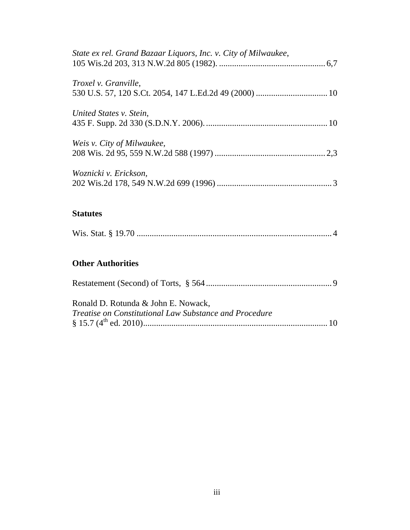| State ex rel. Grand Bazaar Liquors, Inc. v. City of Milwaukee, |  |
|----------------------------------------------------------------|--|
| <i>Troxel v. Granville,</i>                                    |  |
| United States v. Stein,                                        |  |
| Weis v. City of Milwaukee,                                     |  |
| Woznicki v. Erickson,                                          |  |
|                                                                |  |

### **Statutes**

|--|

# **Other Authorities**

| Ronald D. Rotunda & John E. Nowack,                    |  |
|--------------------------------------------------------|--|
| Treatise on Constitutional Law Substance and Procedure |  |
|                                                        |  |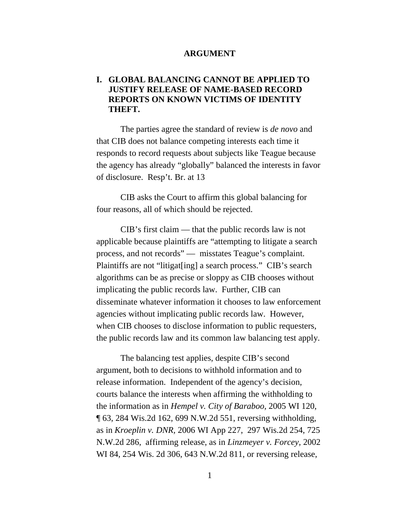#### **ARGUMENT**

#### **I. GLOBAL BALANCING CANNOT BE APPLIED TO JUSTIFY RELEASE OF NAME-BASED RECORD REPORTS ON KNOWN VICTIMS OF IDENTITY THEFT.**

The parties agree the standard of review is *de novo* and that CIB does not balance competing interests each time it responds to record requests about subjects like Teague because the agency has already "globally" balanced the interests in favor of disclosure. Resp't. Br. at 13

CIB asks the Court to affirm this global balancing for four reasons, all of which should be rejected.

CIB's first claim — that the public records law is not applicable because plaintiffs are "attempting to litigate a search process, and not records" — misstates Teague's complaint. Plaintiffs are not "litigat[ing] a search process." CIB's search algorithms can be as precise or sloppy as CIB chooses without implicating the public records law. Further, CIB can disseminate whatever information it chooses to law enforcement agencies without implicating public records law. However, when CIB chooses to disclose information to public requesters, the public records law and its common law balancing test apply.

The balancing test applies, despite CIB's second argument, both to decisions to withhold information and to release information. Independent of the agency's decision, courts balance the interests when affirming the withholding to the information as in *Hempel v. City of Baraboo,* 2005 WI 120, ¶ 63, 284 Wis.2d 162, 699 N.W.2d 551, reversing withholding, as in *Kroeplin v. DNR,* 2006 WI App 227, 297 Wis.2d 254, 725 N.W.2d 286, affirming release, as in *Linzmeyer v. Forcey,* 2002 WI 84, 254 Wis. 2d 306, 643 N.W.2d 811, or reversing release,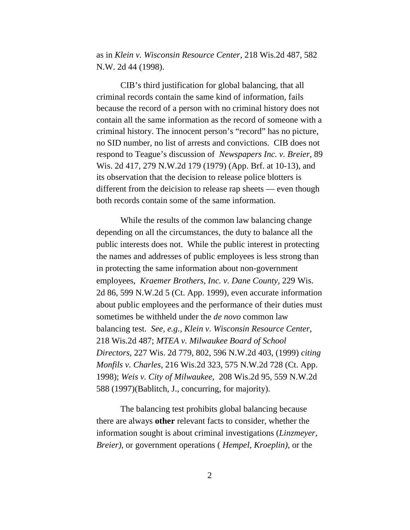as in *Klein v. Wisconsin Resource Center,* 218 Wis.2d 487, 582 N.W. 2d 44 (1998).

CIB's third justification for global balancing, that all criminal records contain the same kind of information, fails because the record of a person with no criminal history does not contain all the same information as the record of someone with a criminal history. The innocent person's "record" has no picture, no SID number, no list of arrests and convictions. CIB does not respond to Teague's discussion of *Newspapers Inc. v. Breier,* 89 Wis. 2d 417, 279 N.W.2d 179 (1979) (App. Brf. at 10-13), and its observation that the decision to release police blotters is different from the deicision to release rap sheets — even though both records contain some of the same information.

While the results of the common law balancing change depending on all the circumstances, the duty to balance all the public interests does not. While the public interest in protecting the names and addresses of public employees is less strong than in protecting the same information about non-government employees, *Kraemer Brothers, Inc. v. Dane County,* 229 Wis. 2d 86, 599 N.W.2d 5 (Ct. App. 1999), even accurate information about public employees and the performance of their duties must sometimes be withheld under the *de novo* common law balancing test. *See, e.g., Klein v. Wisconsin Resource Center,* 218 Wis.2d 487; *MTEA v. Milwaukee Board of School Directors*, 227 Wis. 2d 779, 802, 596 N.W.2d 403, (1999) *citing Monfils v. Charles,* 216 Wis.2d 323, 575 N.W.2d 728 (Ct. App. 1998); *Weis v. City of Milwaukee,* 208 Wis.2d 95, 559 N.W.2d 588 (1997)(Bablitch, J., concurring, for majority).

The balancing test prohibits global balancing because there are always **other** relevant facts to consider, whether the information sought is about criminal investigations (*Linzmeyer, Breier)*, or government operations ( *Hempel, Kroeplin)*, or the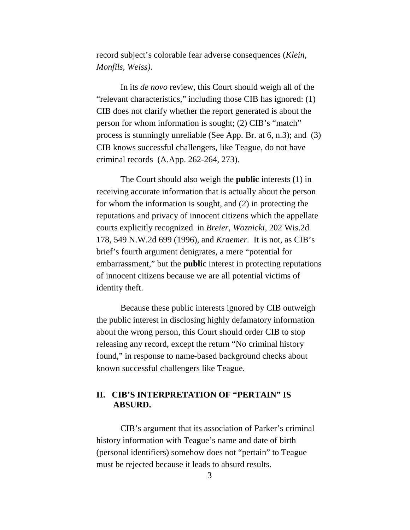record subject's colorable fear adverse consequences (*Klein, Monfils, Weiss)*.

In its *de novo* review, this Court should weigh all of the "relevant characteristics," including those CIB has ignored: (1) CIB does not clarify whether the report generated is about the person for whom information is sought; (2) CIB's "match" process is stunningly unreliable (See App. Br. at 6, n.3); and (3) CIB knows successful challengers, like Teague, do not have criminal records (A.App. 262-264, 273).

The Court should also weigh the **public** interests (1) in receiving accurate information that is actually about the person for whom the information is sought, and (2) in protecting the reputations and privacy of innocent citizens which the appellate courts explicitly recognized in *Breier, Woznicki,* 202 Wis.2d 178, 549 N.W.2d 699 (1996), and *Kraemer.* It is not, as CIB's brief's fourth argument denigrates, a mere "potential for embarrassment," but the **public** interest in protecting reputations of innocent citizens because we are all potential victims of identity theft.

Because these public interests ignored by CIB outweigh the public interest in disclosing highly defamatory information about the wrong person, this Court should order CIB to stop releasing any record, except the return "No criminal history found," in response to name-based background checks about known successful challengers like Teague.

#### **II. CIB'S INTERPRETATION OF "PERTAIN" IS ABSURD.**

CIB's argument that its association of Parker's criminal history information with Teague's name and date of birth (personal identifiers) somehow does not "pertain" to Teague must be rejected because it leads to absurd results.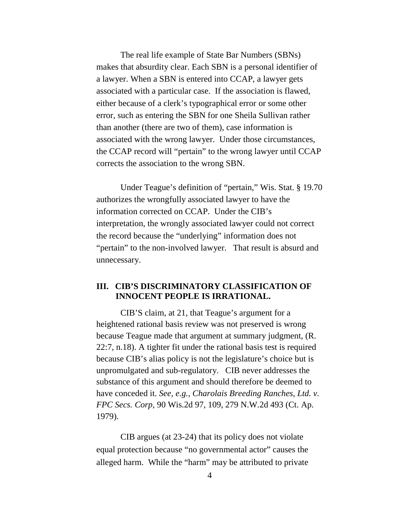The real life example of State Bar Numbers (SBNs) makes that absurdity clear. Each SBN is a personal identifier of a lawyer. When a SBN is entered into CCAP, a lawyer gets associated with a particular case. If the association is flawed, either because of a clerk's typographical error or some other error, such as entering the SBN for one Sheila Sullivan rather than another (there are two of them), case information is associated with the wrong lawyer. Under those circumstances, the CCAP record will "pertain" to the wrong lawyer until CCAP corrects the association to the wrong SBN.

Under Teague's definition of "pertain," Wis. Stat. § 19.70 authorizes the wrongfully associated lawyer to have the information corrected on CCAP. Under the CIB's interpretation, the wrongly associated lawyer could not correct the record because the "underlying" information does not "pertain" to the non-involved lawyer. That result is absurd and unnecessary.

#### **III. CIB'S DISCRIMINATORY CLASSIFICATION OF INNOCENT PEOPLE IS IRRATIONAL.**

CIB'S claim, at 21, that Teague's argument for a heightened rational basis review was not preserved is wrong because Teague made that argument at summary judgment, (R. 22:7, n.18). A tighter fit under the rational basis test is required because CIB's alias policy is not the legislature's choice but is unpromulgated and sub-regulatory. CIB never addresses the substance of this argument and should therefore be deemed to have conceded it. *See, e.g., Charolais Breeding Ranches, Ltd. v. FPC Secs. Corp,* 90 Wis.2d 97, 109, 279 N.W.2d 493 (Ct. Ap. 1979).

CIB argues (at 23-24) that its policy does not violate equal protection because "no governmental actor" causes the alleged harm. While the "harm" may be attributed to private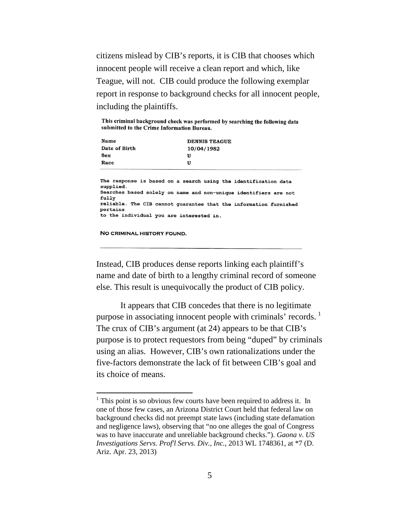citizens mislead by CIB's reports, it is CIB that chooses which innocent people will receive a clean report and which, like Teague, will not. CIB could produce the following exemplar report in response to background checks for all innocent people, including the plaintiffs.

This criminal background check was performed by searching the following data submitted to the Crime Information Bureau.

| Name          | DENNIS TEAGUE |
|---------------|---------------|
| Date of Birth | 10/04/1982    |
| Sex           | U             |
| Race          | U             |
|               |               |

The response is based on a search using the identification data supplied. Searches based solely on name and non-unique identifiers are not fully reliable. The CIB cannot guarantee that the information furnished pertains to the individual you are interested in.

NO CRIMINAL HISTORY FOUND.

Instead, CIB produces dense reports linking each plaintiff's name and date of birth to a lengthy criminal record of someone else. This result is unequivocally the product of CIB policy.

It appears that CIB concedes that there is no legitimate purpose in associating innocent people with criminals' records.<sup>[1](#page-8-0)</sup> The crux of CIB's argument (at 24) appears to be that CIB's purpose is to protect requestors from being "duped" by criminals using an alias. However, CIB's own rationalizations under the five-factors demonstrate the lack of fit between CIB's goal and its choice of means.

<span id="page-8-0"></span><sup>&</sup>lt;sup>1</sup> This point is so obvious few courts have been required to address it. In one of those few cases, an Arizona District Court held that federal law on background checks did not preempt state laws (including state defamation and negligence laws), observing that "no one alleges the goal of Congress was to have inaccurate and unreliable background checks."). *Gaona v. US Investigations Servs. Prof'l Servs. Div., Inc.*, 2013 WL 1748361, at \*7 (D. Ariz. Apr. 23, 2013)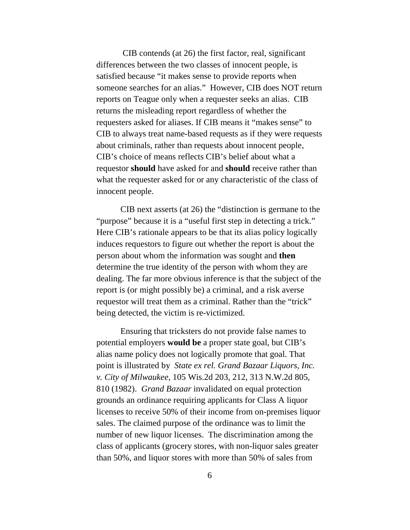CIB contends (at 26) the first factor, real, significant differences between the two classes of innocent people, is satisfied because "it makes sense to provide reports when someone searches for an alias." However, CIB does NOT return reports on Teague only when a requester seeks an alias. CIB returns the misleading report regardless of whether the requesters asked for aliases. If CIB means it "makes sense" to CIB to always treat name-based requests as if they were requests about criminals, rather than requests about innocent people, CIB's choice of means reflects CIB's belief about what a requestor **should** have asked for and **should** receive rather than what the requester asked for or any characteristic of the class of innocent people.

CIB next asserts (at 26) the "distinction is germane to the "purpose" because it is a "useful first step in detecting a trick." Here CIB's rationale appears to be that its alias policy logically induces requestors to figure out whether the report is about the person about whom the information was sought and **then** determine the true identity of the person with whom they are dealing. The far more obvious inference is that the subject of the report is (or might possibly be) a criminal, and a risk averse requestor will treat them as a criminal. Rather than the "trick" being detected, the victim is re-victimized.

Ensuring that tricksters do not provide false names to potential employers **would be** a proper state goal, but CIB's alias name policy does not logically promote that goal. That point is illustrated by *State ex rel. Grand Bazaar Liquors, Inc. v. City of Milwaukee*, 105 Wis.2d 203, 212, 313 N.W.2d 805, 810 (1982). *Grand Bazaar* invalidated on equal protection grounds an ordinance requiring applicants for Class A liquor licenses to receive 50% of their income from on-premises liquor sales. The claimed purpose of the ordinance was to limit the number of new liquor licenses. The discrimination among the class of applicants (grocery stores, with non-liquor sales greater than 50%, and liquor stores with more than 50% of sales from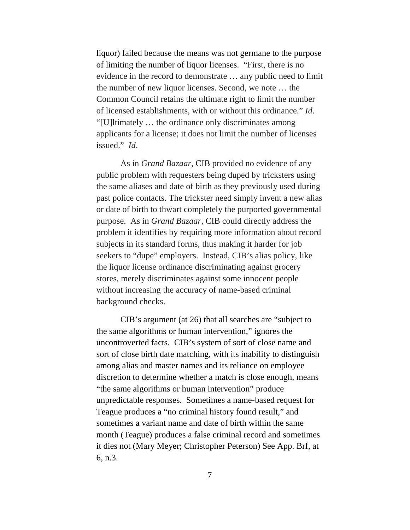liquor) failed because the means was not germane to the purpose of limiting the number of liquor licenses. "First, there is no evidence in the record to demonstrate … any public need to limit the number of new liquor licenses. Second, we note … the Common Council retains the ultimate right to limit the number of licensed establishments, with or without this ordinance." *Id*. "[U]ltimately … the ordinance only discriminates among applicants for a license; it does not limit the number of licenses issued." *Id*.

As in *Grand Bazaar,* CIB provided no evidence of any public problem with requesters being duped by tricksters using the same aliases and date of birth as they previously used during past police contacts. The trickster need simply invent a new alias or date of birth to thwart completely the purported governmental purpose. As in *Grand Bazaar,* CIB could directly address the problem it identifies by requiring more information about record subjects in its standard forms, thus making it harder for job seekers to "dupe" employers. Instead, CIB's alias policy, like the liquor license ordinance discriminating against grocery stores, merely discriminates against some innocent people without increasing the accuracy of name-based criminal background checks.

CIB's argument (at 26) that all searches are "subject to the same algorithms or human intervention," ignores the uncontroverted facts. CIB's system of sort of close name and sort of close birth date matching, with its inability to distinguish among alias and master names and its reliance on employee discretion to determine whether a match is close enough, means "the same algorithms or human intervention" produce unpredictable responses. Sometimes a name-based request for Teague produces a "no criminal history found result," and sometimes a variant name and date of birth within the same month (Teague) produces a false criminal record and sometimes it dies not (Mary Meyer; Christopher Peterson) See App. Brf, at 6, n.3.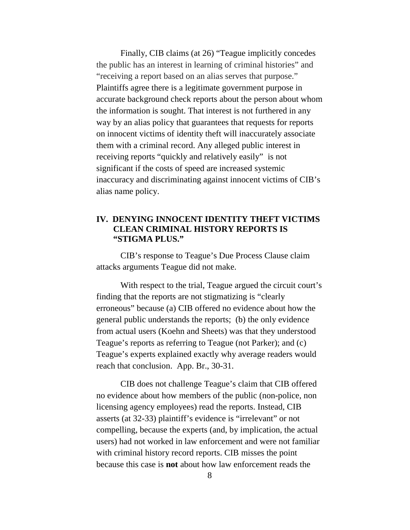Finally, CIB claims (at 26) "Teague implicitly concedes the public has an interest in learning of criminal histories" and "receiving a report based on an alias serves that purpose." Plaintiffs agree there is a legitimate government purpose in accurate background check reports about the person about whom the information is sought. That interest is not furthered in any way by an alias policy that guarantees that requests for reports on innocent victims of identity theft will inaccurately associate them with a criminal record. Any alleged public interest in receiving reports "quickly and relatively easily" is not significant if the costs of speed are increased systemic inaccuracy and discriminating against innocent victims of CIB's alias name policy.

#### **IV. DENYING INNOCENT IDENTITY THEFT VICTIMS CLEAN CRIMINAL HISTORY REPORTS IS "STIGMA PLUS."**

CIB's response to Teague's Due Process Clause claim attacks arguments Teague did not make.

With respect to the trial, Teague argued the circuit court's finding that the reports are not stigmatizing is "clearly erroneous" because (a) CIB offered no evidence about how the general public understands the reports; (b) the only evidence from actual users (Koehn and Sheets) was that they understood Teague's reports as referring to Teague (not Parker); and (c) Teague's experts explained exactly why average readers would reach that conclusion. App. Br., 30-31.

CIB does not challenge Teague's claim that CIB offered no evidence about how members of the public (non-police, non licensing agency employees) read the reports. Instead, CIB asserts (at 32-33) plaintiff's evidence is "irrelevant" or not compelling, because the experts (and, by implication, the actual users) had not worked in law enforcement and were not familiar with criminal history record reports. CIB misses the point because this case is **not** about how law enforcement reads the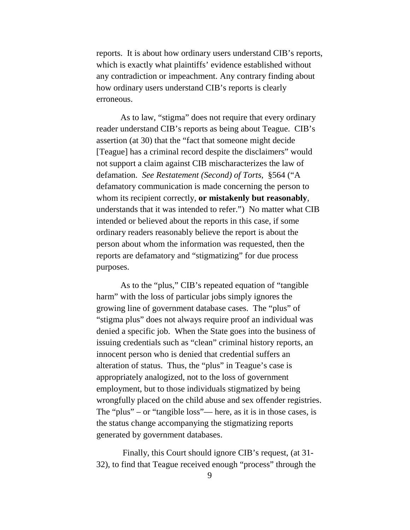reports. It is about how ordinary users understand CIB's reports, which is exactly what plaintiffs' evidence established without any contradiction or impeachment. Any contrary finding about how ordinary users understand CIB's reports is clearly erroneous.

As to law, "stigma" does not require that every ordinary reader understand CIB's reports as being about Teague. CIB's assertion (at 30) that the "fact that someone might decide [Teague] has a criminal record despite the disclaimers" would not support a claim against CIB mischaracterizes the law of defamation. *See Restatement (Second) of Torts*, §564 ("A defamatory communication is made concerning the person to whom its recipient correctly, **or mistakenly but reasonably**, understands that it was intended to refer.") No matter what CIB intended or believed about the reports in this case, if some ordinary readers reasonably believe the report is about the person about whom the information was requested, then the reports are defamatory and "stigmatizing" for due process purposes.

As to the "plus," CIB's repeated equation of "tangible harm" with the loss of particular jobs simply ignores the growing line of government database cases. The "plus" of "stigma plus" does not always require proof an individual was denied a specific job. When the State goes into the business of issuing credentials such as "clean" criminal history reports, an innocent person who is denied that credential suffers an alteration of status. Thus, the "plus" in Teague's case is appropriately analogized, not to the loss of government employment, but to those individuals stigmatized by being wrongfully placed on the child abuse and sex offender registries. The "plus" – or "tangible loss"— here, as it is in those cases, is the status change accompanying the stigmatizing reports generated by government databases.

Finally, this Court should ignore CIB's request, (at 31- 32), to find that Teague received enough "process" through the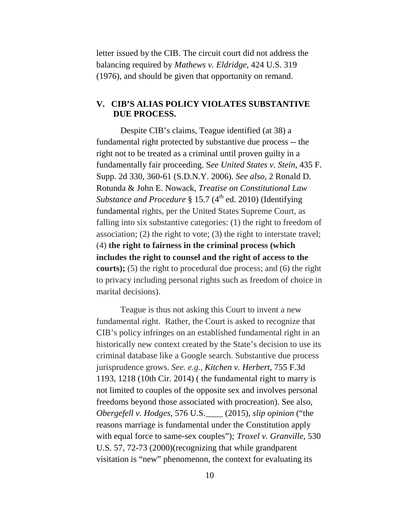letter issued by the CIB. The circuit court did not address the balancing required by *Mathews v. Eldridge,* 424 U.S. 319 (1976), and should be given that opportunity on remand.

#### **V. CIB'S ALIAS POLICY VIOLATES SUBSTANTIVE DUE PROCESS.**

Despite CIB's claims, Teague identified (at 38) a fundamental right protected by substantive due process -- the right not to be treated as a criminal until proven guilty in a fundamentally fair proceeding. S*ee United States v. Stein*, 435 F. Supp. 2d 330, 360-61 (S.D.N.Y. 2006). *See also,* 2 Ronald D. Rotunda & John E. Nowack, *Treatise on Constitutional Law Substance and Procedure* § 15.7 (4<sup>th</sup> ed. 2010) (Identifying fundamental rights, per the United States Supreme Court, as falling into six substantive categories: (1) the right to freedom of association; (2) the right to vote; (3) the right to interstate travel; (4) **the right to fairness in the criminal process (which includes the right to counsel and the right of access to the courts**); (5) the right to procedural due process; and (6) the right to privacy including personal rights such as freedom of choice in marital decisions).

Teague is thus not asking this Court to invent a new fundamental right. Rather, the Court is asked to recognize that CIB's policy infringes on an established fundamental right in an historically new context created by the State's decision to use its criminal database like a Google search. Substantive due process jurisprudence grows. *See. e.g., Kitchen v. Herbert*, 755 F.3d 1193, 1218 (10th Cir. 2014) ( the fundamental right to marry is not limited to couples of the opposite sex and involves personal freedoms beyond those associated with procreation). See also, *Obergefell v. Hodges*, 576 U.S.\_\_\_\_ (2015), *slip opinion* ("the reasons marriage is fundamental under the Constitution apply with equal force to same-sex couples")*; Troxel v. Granville*, 530 U.S. 57, 72-73 (2000)(recognizing that while grandparent visitation is "new" phenomenon, the context for evaluating its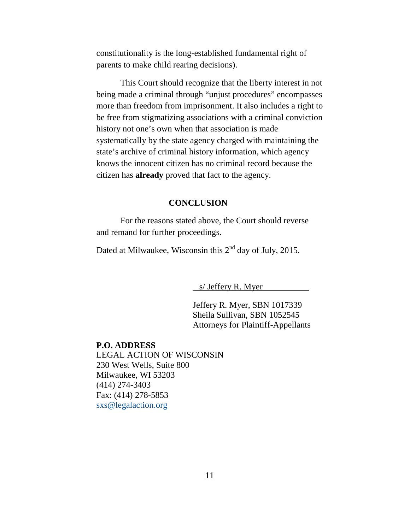constitutionality is the long-established fundamental right of parents to make child rearing decisions).

This Court should recognize that the liberty interest in not being made a criminal through "unjust procedures" encompasses more than freedom from imprisonment. It also includes a right to be free from stigmatizing associations with a criminal conviction history not one's own when that association is made systematically by the state agency charged with maintaining the state's archive of criminal history information, which agency knows the innocent citizen has no criminal record because the citizen has **already** proved that fact to the agency.

#### **CONCLUSION**

For the reasons stated above, the Court should reverse and remand for further proceedings.

Dated at Milwaukee, Wisconsin this  $2<sup>nd</sup>$  day of July, 2015.

s/ Jeffery R. Myer

Jeffery R. Myer, SBN 1017339 Sheila Sullivan, SBN 1052545 Attorneys for Plaintiff-Appellants

#### **P.O. ADDRESS**

LEGAL ACTION OF WISCONSIN 230 West Wells, Suite 800 Milwaukee, WI 53203 (414) 274-3403 Fax: (414) 278-5853 [sxs@legalaction.org](mailto:sxs@legalaction.org)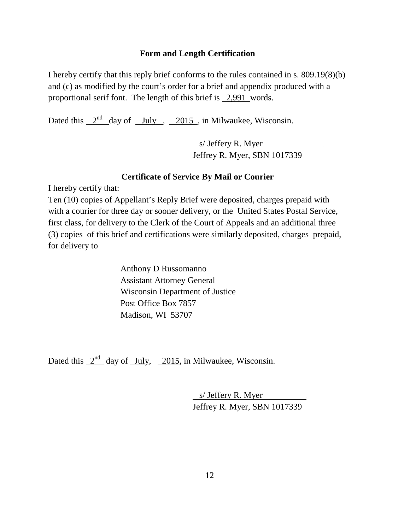#### **Form and Length Certification**

I hereby certify that this reply brief conforms to the rules contained in s. 809.19(8)(b) and (c) as modified by the court's order for a brief and appendix produced with a proportional serif font. The length of this brief is 2,991 words.

Dated this  $2<sup>nd</sup>$  day of July , 2015, in Milwaukee, Wisconsin.

s/ Jeffery R. Myer Jeffrey R. Myer, SBN 1017339

#### **Certificate of Service By Mail or Courier**

I hereby certify that:

Ten (10) copies of Appellant's Reply Brief were deposited, charges prepaid with with a courier for three day or sooner delivery, or the United States Postal Service, first class, for delivery to the Clerk of the Court of Appeals and an additional three (3) copies of this brief and certifications were similarly deposited, charges prepaid, for delivery to

> Anthony D Russomanno Assistant Attorney General Wisconsin Department of Justice Post Office Box 7857 Madison, WI 53707

Dated this  $2<sup>nd</sup>$  day of July, 2015, in Milwaukee, Wisconsin.

s/ Jeffery R. Myer Jeffrey R. Myer, SBN 1017339